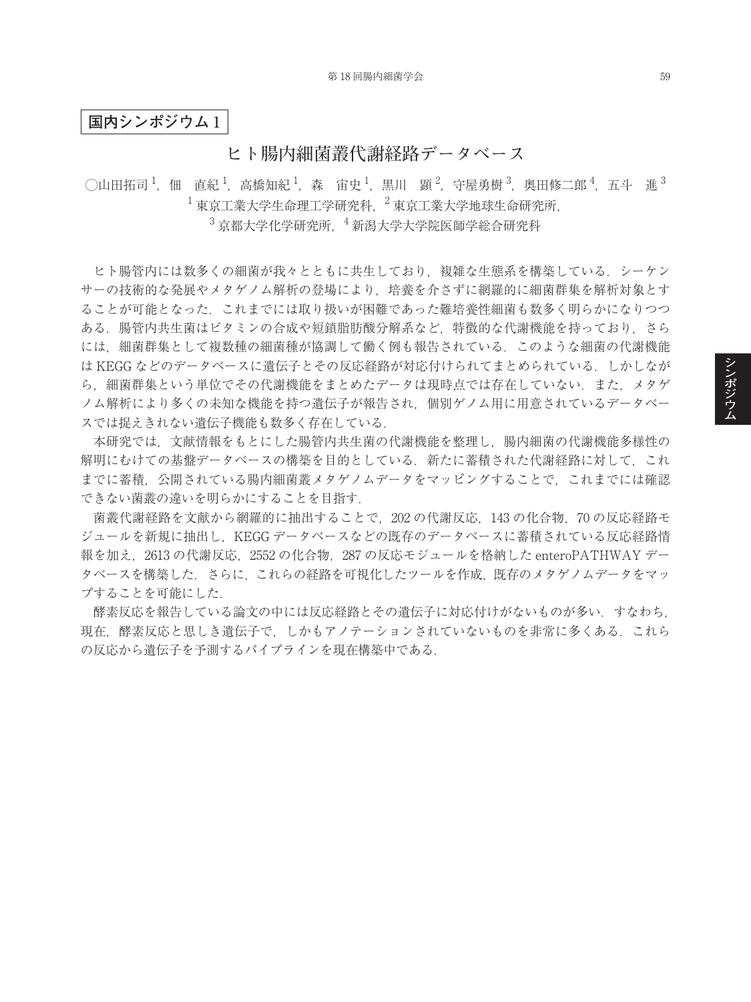**国内シンポジウム** 1

## **ヒト腸内細菌叢代謝経路データベース**

◯山田拓司  $^1$ ,佃 直紀  $^1$ ,高橋知紀  $^1$ ,森 宙史  $^1$ ,黒川 顕  $^2$ ,守屋勇樹  $^3$ ,奥田修二郎  $^4$ ,五斗 進  $^3$  $^{-1}$ 東京工業大学生命理工学研究科,  $^{-2}$ 東京工業大学地球生命研究所,

 $3\overline{5}$ 京都大学化学研究所,  $4\overline{3}$ 新潟大学大学院医師学総合研究科

ヒト腸管内には数多くの細菌が我々とともに共生しており,複雑な生態系を構築している.シーケン サーの技術的な発展やメタゲノム解析の登場により,培養を介さずに網羅的に細菌群集を解析対象とす ることが可能となった.これまでには取り扱いが困難であった難培養性細菌も数多く明らかになりつつ ある.腸管内共生菌はビタミンの合成や短鎖脂肪酸分解系など,特徴的な代謝機能を持っており,さら には,細菌群集として複数種の細菌種が協調して働く例も報告されている.このような細菌の代謝機能 は KEGG などのデータベースに遺伝子とその反応経路が対応付けられてまとめられている. しかしなが ら、細菌群集という単位でその代謝機能をまとめたデータは現時点では存在していない.また、メタゲ ノム解析により多くの未知な機能を持つ遺伝子が報告され,個別ゲノム用に用意されているデータベー スでは捉えきれない遺伝子機能も数多く存在している.

本研究では,文献情報をもとにした腸管内共生菌の代謝機能を整理し,腸内細菌の代謝機能多様性の 解明にむけての基盤データベースの構築を目的としている。新たに蓄積された代謝経路に対して、これ までに蓄積,公開されている腸内細菌叢メタゲノムデータをマッピングすることで,これまでには確認 できない菌叢の違いを明らかにすることを目指す.

菌叢代謝経路を文献から網羅的に抽出することで,202 の代謝反応,143 の化合物,70 の反応経路モ ジュールを新規に抽出し,KEGG データベースなどの既存のデータベースに蓄積されている反応経路情 報を加え,2613 の代謝反応,2552 の化合物,287 の反応モジュールを格納した enteroPATHWAY デー タベースを構築した.さらに,これらの経路を可視化したツールを作成,既存のメタゲノムデータをマッ プすることを可能にした.

酵素反応を報告している論文の中には反応経路とその遺伝子に対応付けがないものが多い.すなわち, 現在,酵素反応と思しき遺伝子で,しかもアノテーションされていないものを非常に多くある.これら の反応から遺伝子を予測するパイプラインを現在構築中である.